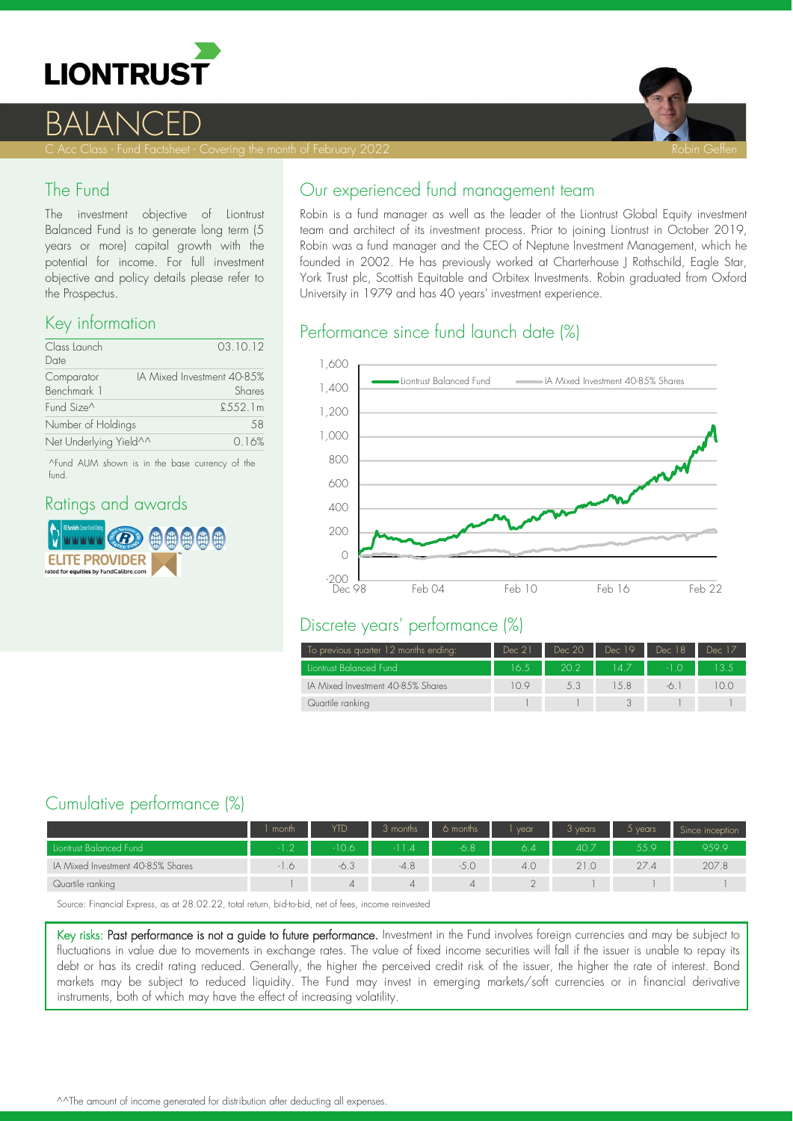



### The Fund

The investment objective of Liontrust Balanced Fund is to generate long term (5 years or more) capital growth with the potential for income. For full investment objective and policy details please refer to the Prospectus.

#### Key information

| Class Launch<br>Date      | 03.10.12                             |
|---------------------------|--------------------------------------|
| Comparator<br>Benchmark 1 | IA Mixed Investment 40-85%<br>Shares |
| Fund Size <sup>^</sup>    | £552.1m                              |
| Number of Holdings        | .58                                  |
| Net Underlying Yield^^    | 0.16%                                |

^Fund AUM shown is in the base currency of the fund.

#### Ratings and awards



#### Our experienced fund management team

Robin is a fund manager as well as the leader of the Liontrust Global Equity investment team and architect of its investment process. Prior to joining Liontrust in October 2019, Robin was a fund manager and the CEO of Neptune Investment Management, which he founded in 2002. He has previously worked at Charterhouse J Rothschild, Eagle Star, York Trust plc, Scottish Equitable and Orbitex Investments. Robin graduated from Oxford University in 1979 and has 40 years' investment experience.

### Performance since fund launch date (%)



#### Discrete years' performance (%)

| To previous quarter 12 months ending: | Dec 21 | Dec 20 | Dec 19  | Dec 18 | Dec 17 |
|---------------------------------------|--------|--------|---------|--------|--------|
| Liontrust Balanced Fund               | 16.5   | 20.2   | $147 -$ |        |        |
| IA Mixed Investment 40-85% Shares     | 10.9   | 5.3    |         |        |        |
| Quartile ranking                      |        |        |         |        |        |

# Cumulative performance (%)

|                                   | month  | YTD  | 3 months | 6 months | vear | 3 years | $5$ years | Since inception |
|-----------------------------------|--------|------|----------|----------|------|---------|-----------|-----------------|
| Liontrust Balanced Fund           | $\cap$ | 10.6 |          | 6.8      | 6.4  | 40.7    | 55 Q      | 959.9           |
| IA Mixed Investment 40-85% Shares |        | 6.3  | $-4.8$   |          | 4.0  |         | 27.4      | 207.8           |
| Quartile ranking                  |        | ↵    |          | 4        |      |         |           |                 |

Source: Financial Express, as at 28.02.22, total return, bid-to-bid, net of fees, income reinvested

Key risks: Past performance is not a guide to future performance. Investment in the Fund involves foreign currencies and may be subject to fluctuations in value due to movements in exchange rates. The value of fixed income securities will fall if the issuer is unable to repay its debt or has its credit rating reduced. Generally, the higher the perceived credit risk of the issuer, the higher the rate of interest. Bond markets may be subject to reduced liquidity. The Fund may invest in emerging markets/soft currencies or in financial derivative instruments, both of which may have the effect of increasing volatility.